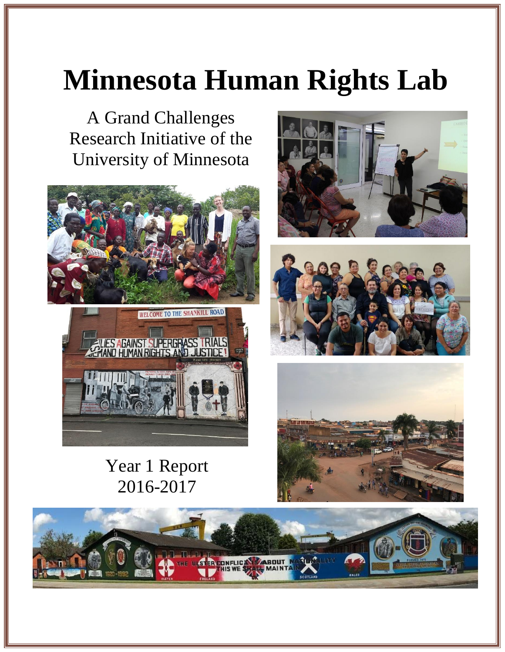# **Minnesota Human Rights Lab**

A Grand Challenges Research Initiative of the University of Minnesota





Year 1 Report 2016-2017







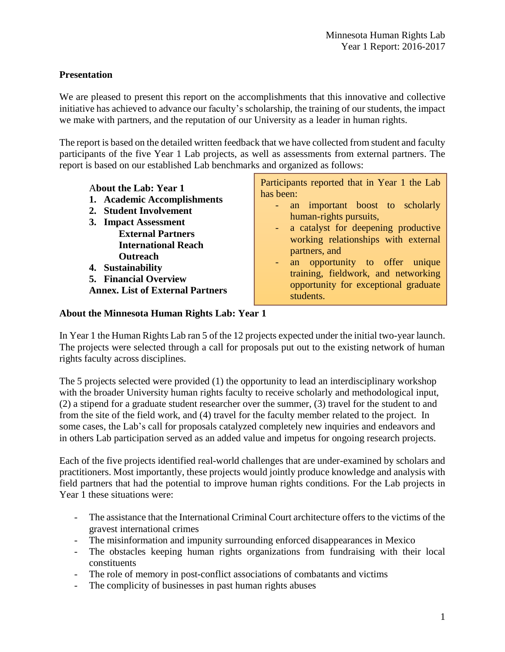# **Presentation**

We are pleased to present this report on the accomplishments that this innovative and collective initiative has achieved to advance our faculty's scholarship, the training of our students, the impact we make with partners, and the reputation of our University as a leader in human rights.

The report is based on the detailed written feedback that we have collected from student and faculty participants of the five Year 1 Lab projects, as well as assessments from external partners. The report is based on our established Lab benchmarks and organized as follows:

| <b>About the Lab: Year 1</b><br>1. Academic Accomplishments<br>2. Student Involvement<br>3. Impact Assessment                                                      | Participants reported that in Year 1 the Lab<br>has been:<br>an important boost to scholarly<br>$\blacksquare$<br>human-rights pursuits,                                                                                    |
|--------------------------------------------------------------------------------------------------------------------------------------------------------------------|-----------------------------------------------------------------------------------------------------------------------------------------------------------------------------------------------------------------------------|
| <b>External Partners</b><br><b>International Reach</b><br><b>Outreach</b><br>4. Sustainability<br>5. Financial Overview<br><b>Annex. List of External Partners</b> | - a catalyst for deepening productive<br>working relationships with external<br>partners, and<br>an opportunity to offer unique<br>training, fieldwork, and networking<br>opportunity for exceptional graduate<br>students. |

#### **About the Minnesota Human Rights Lab: Year 1**

In Year 1 the Human Rights Lab ran 5 of the 12 projects expected under the initial two-year launch. The projects were selected through a call for proposals put out to the existing network of human rights faculty across disciplines.

The 5 projects selected were provided (1) the opportunity to lead an interdisciplinary workshop with the broader University human rights faculty to receive scholarly and methodological input, (2) a stipend for a graduate student researcher over the summer, (3) travel for the student to and from the site of the field work, and (4) travel for the faculty member related to the project. In some cases, the Lab's call for proposals catalyzed completely new inquiries and endeavors and in others Lab participation served as an added value and impetus for ongoing research projects.

Each of the five projects identified real-world challenges that are under-examined by scholars and practitioners. Most importantly, these projects would jointly produce knowledge and analysis with field partners that had the potential to improve human rights conditions. For the Lab projects in Year 1 these situations were:

- The assistance that the International Criminal Court architecture offers to the victims of the gravest international crimes
- The misinformation and impunity surrounding enforced disappearances in Mexico
- The obstacles keeping human rights organizations from fundraising with their local constituents
- The role of memory in post-conflict associations of combatants and victims
- The complicity of businesses in past human rights abuses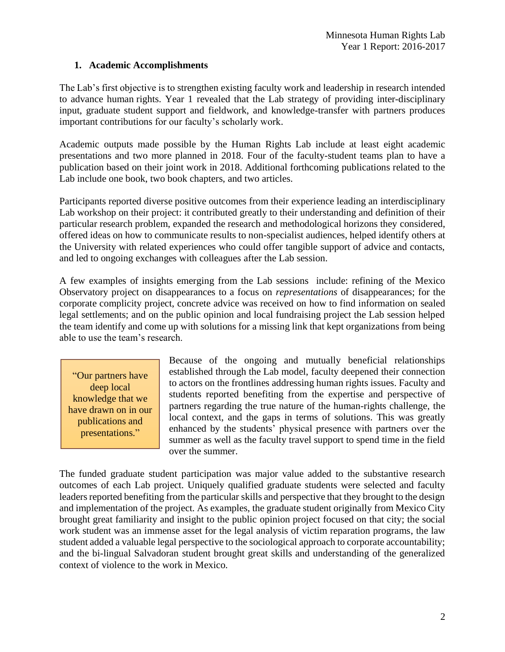# **1. Academic Accomplishments**

The Lab's first objective is to strengthen existing faculty work and leadership in research intended to advance human rights. Year 1 revealed that the Lab strategy of providing inter-disciplinary input, graduate student support and fieldwork, and knowledge-transfer with partners produces important contributions for our faculty's scholarly work.

Academic outputs made possible by the Human Rights Lab include at least eight academic presentations and two more planned in 2018. Four of the faculty-student teams plan to have a publication based on their joint work in 2018. Additional forthcoming publications related to the Lab include one book, two book chapters, and two articles.

Participants reported diverse positive outcomes from their experience leading an interdisciplinary Lab workshop on their project: it contributed greatly to their understanding and definition of their particular research problem, expanded the research and methodological horizons they considered, offered ideas on how to communicate results to non-specialist audiences, helped identify others at the University with related experiences who could offer tangible support of advice and contacts, and led to ongoing exchanges with colleagues after the Lab session.

A few examples of insights emerging from the Lab sessions include: refining of the Mexico Observatory project on disappearances to a focus on *representations* of disappearances; for the corporate complicity project, concrete advice was received on how to find information on sealed legal settlements; and on the public opinion and local fundraising project the Lab session helped the team identify and come up with solutions for a missing link that kept organizations from being able to use the team's research.

"Our partners have deep local knowledge that we have drawn on in our publications and presentations."

Because of the ongoing and mutually beneficial relationships established through the Lab model, faculty deepened their connection to actors on the frontlines addressing human rights issues. Faculty and students reported benefiting from the expertise and perspective of partners regarding the true nature of the human-rights challenge, the local context, and the gaps in terms of solutions. This was greatly enhanced by the students' physical presence with partners over the summer as well as the faculty travel support to spend time in the field over the summer.

The funded graduate student participation was major value added to the substantive research outcomes of each Lab project. Uniquely qualified graduate students were selected and faculty leaders reported benefiting from the particular skills and perspective that they brought to the design and implementation of the project. As examples, the graduate student originally from Mexico City brought great familiarity and insight to the public opinion project focused on that city; the social work student was an immense asset for the legal analysis of victim reparation programs, the law student added a valuable legal perspective to the sociological approach to corporate accountability; and the bi-lingual Salvadoran student brought great skills and understanding of the generalized context of violence to the work in Mexico.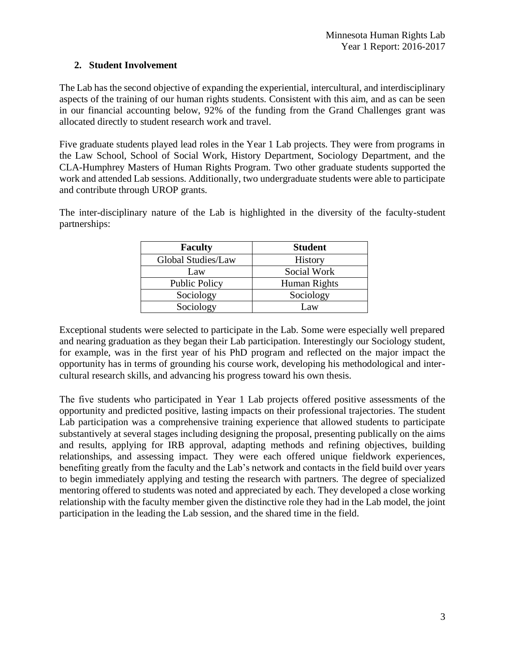# **2. Student Involvement**

The Lab has the second objective of expanding the experiential, intercultural, and interdisciplinary aspects of the training of our human rights students. Consistent with this aim, and as can be seen in our financial accounting below, 92% of the funding from the Grand Challenges grant was allocated directly to student research work and travel.

Five graduate students played lead roles in the Year 1 Lab projects. They were from programs in the Law School, School of Social Work, History Department, Sociology Department, and the CLA-Humphrey Masters of Human Rights Program. Two other graduate students supported the work and attended Lab sessions. Additionally, two undergraduate students were able to participate and contribute through UROP grants.

The inter-disciplinary nature of the Lab is highlighted in the diversity of the faculty-student partnerships:

| <b>Faculty</b>       | <b>Student</b> |
|----------------------|----------------|
| Global Studies/Law   | <b>History</b> |
| Law                  | Social Work    |
| <b>Public Policy</b> | Human Rights   |
| Sociology            | Sociology      |
| Sociology            | Law            |

Exceptional students were selected to participate in the Lab. Some were especially well prepared and nearing graduation as they began their Lab participation. Interestingly our Sociology student, for example, was in the first year of his PhD program and reflected on the major impact the opportunity has in terms of grounding his course work, developing his methodological and intercultural research skills, and advancing his progress toward his own thesis.

The five students who participated in Year 1 Lab projects offered positive assessments of the opportunity and predicted positive, lasting impacts on their professional trajectories. The student Lab participation was a comprehensive training experience that allowed students to participate substantively at several stages including designing the proposal, presenting publically on the aims and results, applying for IRB approval, adapting methods and refining objectives, building relationships, and assessing impact. They were each offered unique fieldwork experiences, benefiting greatly from the faculty and the Lab's network and contacts in the field build over years to begin immediately applying and testing the research with partners. The degree of specialized mentoring offered to students was noted and appreciated by each. They developed a close working relationship with the faculty member given the distinctive role they had in the Lab model, the joint participation in the leading the Lab session, and the shared time in the field.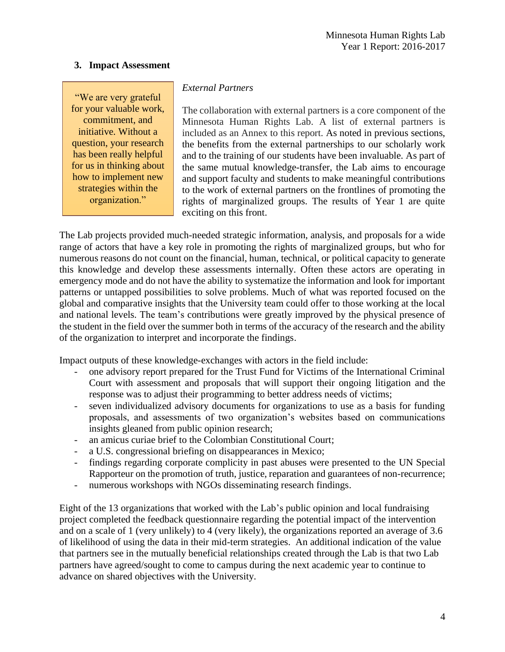#### **3. Impact Assessment**

"We are very grateful for your valuable work, commitment, and initiative. Without a question, your research has been really helpful for us in thinking about how to implement new strategies within the organization."

#### *External Partners*

The collaboration with external partners is a core component of the Minnesota Human Rights Lab. A list of external partners is included as an Annex to this report. As noted in previous sections, the benefits from the external partnerships to our scholarly work and to the training of our students have been invaluable. As part of the same mutual knowledge-transfer, the Lab aims to encourage and support faculty and students to make meaningful contributions to the work of external partners on the frontlines of promoting the rights of marginalized groups. The results of Year 1 are quite exciting on this front.

The Lab projects provided much-needed strategic information, analysis, and proposals for a wide range of actors that have a key role in promoting the rights of marginalized groups, but who for numerous reasons do not count on the financial, human, technical, or political capacity to generate this knowledge and develop these assessments internally. Often these actors are operating in emergency mode and do not have the ability to systematize the information and look for important patterns or untapped possibilities to solve problems. Much of what was reported focused on the global and comparative insights that the University team could offer to those working at the local and national levels. The team's contributions were greatly improved by the physical presence of the student in the field over the summer both in terms of the accuracy of the research and the ability of the organization to interpret and incorporate the findings.

Impact outputs of these knowledge-exchanges with actors in the field include:

- one advisory report prepared for the Trust Fund for Victims of the International Criminal Court with assessment and proposals that will support their ongoing litigation and the response was to adjust their programming to better address needs of victims;
- seven individualized advisory documents for organizations to use as a basis for funding proposals, and assessments of two organization's websites based on communications insights gleaned from public opinion research;
- an amicus curiae brief to the Colombian Constitutional Court;
- a U.S. congressional briefing on disappearances in Mexico;
- findings regarding corporate complicity in past abuses were presented to the UN Special Rapporteur on the promotion of truth, justice, reparation and guarantees of non-recurrence;
- numerous workshops with NGOs disseminating research findings.

Eight of the 13 organizations that worked with the Lab's public opinion and local fundraising project completed the feedback questionnaire regarding the potential impact of the intervention and on a scale of 1 (very unlikely) to 4 (very likely), the organizations reported an average of 3.6 of likelihood of using the data in their mid-term strategies. An additional indication of the value that partners see in the mutually beneficial relationships created through the Lab is that two Lab partners have agreed/sought to come to campus during the next academic year to continue to advance on shared objectives with the University.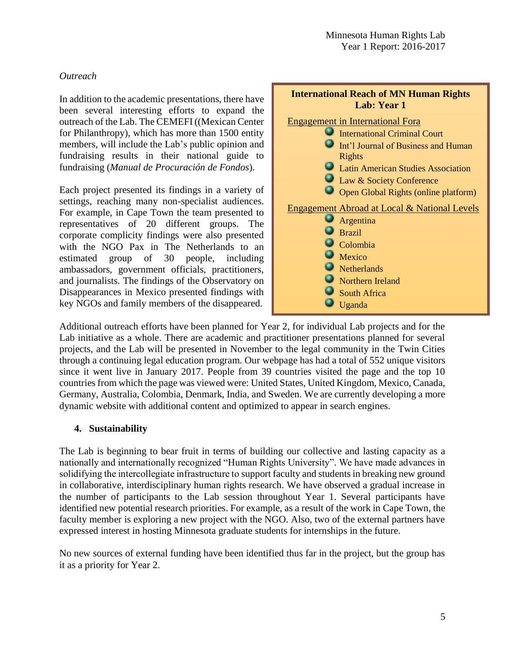## *Outreach*

In addition to the academic presentations, there have been several interesting efforts to expand the outreach of the Lab. The CEMEFI ((Mexican Center for Philanthropy), which has more than 1500 entity members, will include the Lab's public opinion and fundraising results in their national guide to fundraising (*Manual de Procuración de Fondos*).

Each project presented its findings in a variety of settings, reaching many non-specialist audiences. For example, in Cape Town the team presented to representatives of 20 different groups. The corporate complicity findings were also presented with the NGO Pax in The Netherlands to an estimated group of 30 people, including ambassadors, government officials, practitioners, and journalists. The findings of the Observatory on Disappearances in Mexico presented findings with key NGOs and family members of the disappeared.



Additional outreach efforts have been planned for Year 2, for individual Lab projects and for the Lab initiative as a whole. There are academic and practitioner presentations planned for several projects, and the Lab will be presented in November to the legal community in the Twin Cities through a continuing legal education program. Our webpage has had a total of 552 unique visitors since it went live in January 2017. People from 39 countries visited the page and the top 10 countries from which the page was viewed were: United States, United Kingdom, Mexico, Canada, Germany, Australia, Colombia, Denmark, India, and Sweden. We are currently developing a more dynamic website with additional content and optimized to appear in search engines.

#### **4. Sustainability**

The Lab is beginning to bear fruit in terms of building our collective and lasting capacity as a nationally and internationally recognized "Human Rights University". We have made advances in solidifying the intercollegiate infrastructure to support faculty and students in breaking new ground in collaborative, interdisciplinary human rights research. We have observed a gradual increase in the number of participants to the Lab session throughout Year 1. Several participants have identified new potential research priorities. For example, as a result of the work in Cape Town, the faculty member is exploring a new project with the NGO. Also, two of the external partners have expressed interest in hosting Minnesota graduate students for internships in the future.

No new sources of external funding have been identified thus far in the project, but the group has it as a priority for Year 2.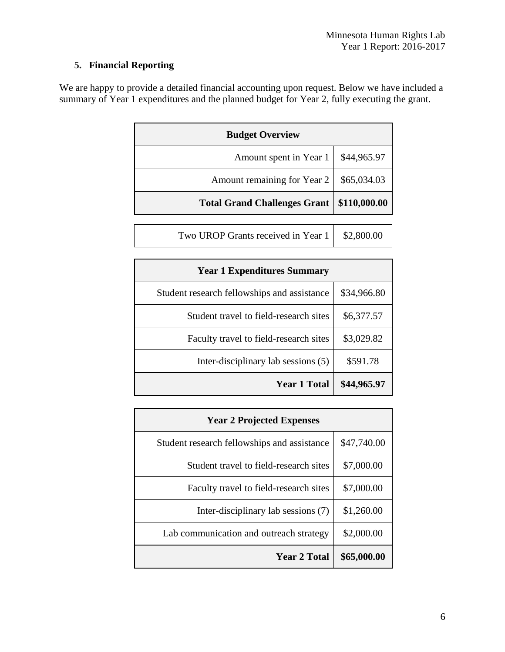# **5. Financial Reporting**

We are happy to provide a detailed financial accounting upon request. Below we have included a summary of Year 1 expenditures and the planned budget for Year 2, fully executing the grant.

| <b>Budget Overview</b>              |              |  |
|-------------------------------------|--------------|--|
| Amount spent in Year 1              | \$44,965.97  |  |
| Amount remaining for Year 2         | \$65,034.03  |  |
| <b>Total Grand Challenges Grant</b> | \$110,000.00 |  |
|                                     |              |  |
| Two UROP Grants received in Year 1  | \$2,800.00   |  |

| <b>Year 1 Expenditures Summary</b>          |             |  |
|---------------------------------------------|-------------|--|
| Student research fellowships and assistance | \$34,966.80 |  |
| Student travel to field-research sites      | \$6,377.57  |  |
| Faculty travel to field-research sites      | \$3,029.82  |  |
| Inter-disciplinary lab sessions (5)         | \$591.78    |  |
| <b>Year 1 Total</b>                         | \$44,965.97 |  |

| <b>Year 2 Projected Expenses</b>            |             |  |
|---------------------------------------------|-------------|--|
| Student research fellowships and assistance | \$47,740.00 |  |
| Student travel to field-research sites      | \$7,000.00  |  |
| Faculty travel to field-research sites      | \$7,000.00  |  |
| Inter-disciplinary lab sessions (7)         | \$1,260.00  |  |
| Lab communication and outreach strategy     | \$2,000.00  |  |
| <b>Year 2 Total</b>                         | \$65,000.00 |  |